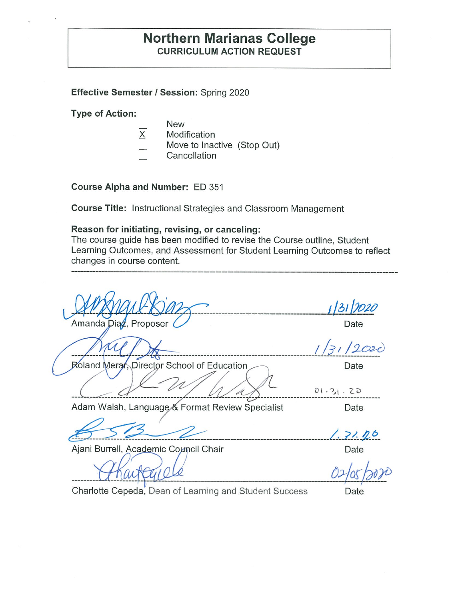## **Northern Marianas College CURRICULUM ACTION REQUEST**

## **Effective Semester/ Session:** Spring 2020

**Type of Action:** 

- New
- $\overline{X}$  Modification
- Move to Inactive (Stop Out)
- Cancellation

**Course Alpha and Number:** ED 351

**Course Title:** Instructional Strategies and Classroom Management

### **Reason for initiating, revising, or canceling:**

The course guide has been modified to revise the Course outline, Student Learning Outcomes, and Assessment for Student Learning Outcomes to reflect changes in course content.

| Amanda Diaz, Proposer                           | Date     |
|-------------------------------------------------|----------|
|                                                 | O20      |
| Roland Merar, Director School of Education      | Date     |
|                                                 | 01.31.20 |
| Adam Walsh, Language & Format Review Specialist | Date     |
|                                                 | 1.31.16  |
| Ajani Burrell, Academic Council Chair           | Date     |
|                                                 |          |
|                                                 |          |

Charlotte Cepeda, Dean of Learning and Student Success **Date**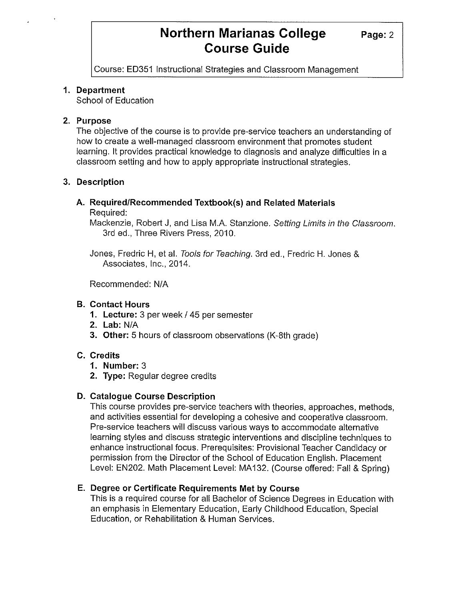Course: ED351 Instructional Strategies and Classroom Management

### **1. Department**

School of Education

### **2. Purpose**

The objective of the course is to provide pre-service teachers an understanding of how to create a well-managed classroom environment that promotes student learning. It provides practical knowledge to diagnosis and analyze difficulties in a classroom setting and how to apply appropriate instructional strategies.

### **3. Description**

# **A. Required/Recommended Textbook(s) and Related Materials**

Required:

Mackenzie, Robert J, and Lisa M.A. Stanzione. Setting Limits in the Classroom. 3rd ed., Three Rivers Press, 2010.

Jones, Fredric H, et al. Tools for Teaching. 3rd ed., Fredric H. Jones & Associates, Inc., 2014.

Recommended: N/A

## **B. Contact Hours**

- **1. Lecture:** 3 per week/ 45 per semester
- **2. Lab:** N/A
- **3. Other:** 5 hours of classroom observations (K-8th grade)

## **C. Credits**

- **1. Number:** 3
- **2. Type:** Regular degree credits

## **D. Catalogue Course Description**

This course provides pre-service teachers with theories, approaches, methods, and activities essential for developing a cohesive and cooperative classroom. Pre-service teachers will discuss various ways to accommodate alternative learning styles and discuss strategic interventions and discipline techniques to enhance instructional focus. Prerequisites: Provisional Teacher Candidacy or permission from the Director of the School of Education English. Placement Level: EN202. Math Placement Level: MA132. (Course offered: Fall & Spring)

## **E. Degree or Certificate Requirements Met by Course**

This is a required course for all Bachelor of Science Degrees in Education with an emphasis in Elementary Education, Early Childhood Education, Special Education, or Rehabilitation & Human Services.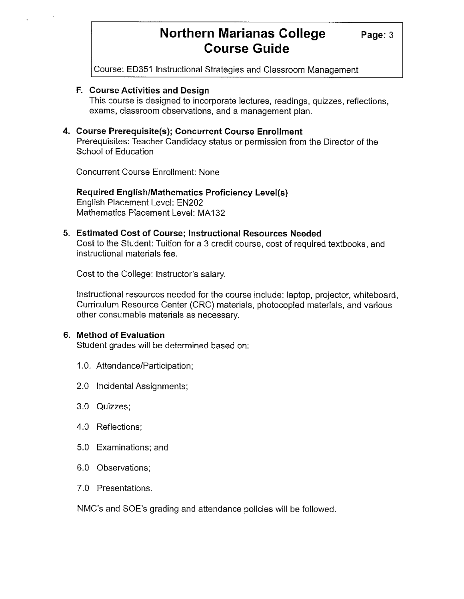**Page:3** 

Course: ED351 Instructional Strategies and Classroom Management

#### **F. Course Activities and Design**

This course is designed to incorporate lectures, readings, quizzes, reflections, exams, classroom observations, and a management plan.

### **4. Course Prerequisite(s); Concurrent Course Enrollment**

Prerequisites: Teacher Candidacy status or permission from the Director of the School of Education

Concurrent Course Enrollment: None

#### **Required English/Mathematics Proficiency Level(s)**  English Placement Level: EN202 Mathematics Placement Level: MA132

#### **5. Estimated Cost of Course; Instructional Resources Needed**

Cost to the Student: Tuition for a 3 credit course, cost of required textbooks, and instructional materials fee.

Cost to the College: Instructor's salary.

Instructional resources needed for the course include: laptop, projector, whiteboard, Curriculum Resource Center (CRC) materials, photocopied materials, and various other consumable materials as necessary.

#### **6. Method of Evaluation**

Student grades will be determined based on:

- 1.0. Attendance/Participation;
- 2.0 Incidental Assignments;
- 3.0 Quizzes;
- 4.0 Reflections;
- 5.0 Examinations; and
- 6.0 Observations;
- 7.0 Presentations.

NMC's and SOE's grading and attendance policies will be followed.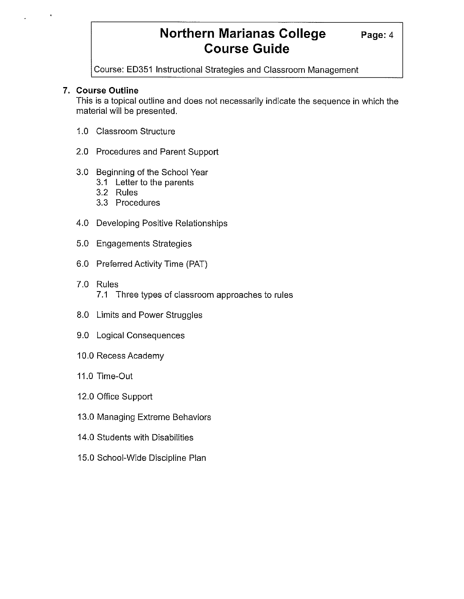Course: ED351 Instructional Strategies and Classroom Management

## **7. Course Outline**

This is a topical outline and does not necessarily indicate the sequence in which the material will be presented.

- 1.0 Classroom Structure
- 2.0 Procedures and Parent Support
- 3.0 Beginning of the School Year
	- 3.1 Letter to the parents
	- 3.2 Rules
	- 3.3 Procedures
- 4.0 Developing Positive Relationships
- 5.0 Engagements Strategies
- 6.0 Preferred Activity Time (PAT)
- 7.0 Rules 7 .1 Three types of classroom approaches to rules
- 8.0 Limits and Power Struggles
- 9.0 Logical Consequences
- 10.0 Recess Academy
- 11.0 Time-Out
- 12.0 Office Support
- 13.0 Managing Extreme Behaviors
- 14.0 Students with Disabilities
- 15.0 School-Wide Discipline Plan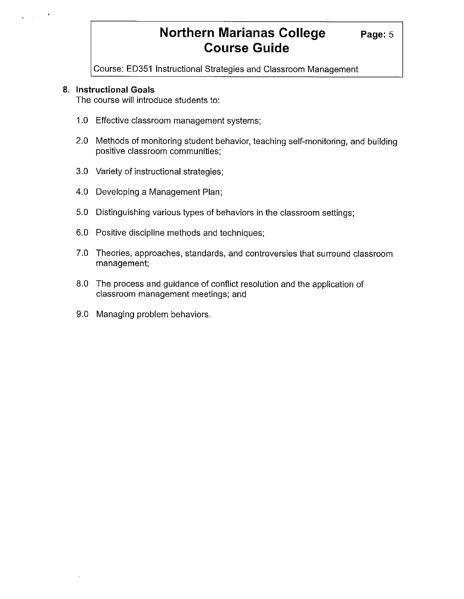**Page:5** 

Course: ED351 Instructional Strategies and Classroom Management

### **8. Instructional Goals**

The course will introduce students to:

- 1.0 Effective classroom management systems;
- 2.0 Methods of monitoring student behavior, teaching self-monitoring, and building positive classroom communities;
- 3.0 Variety of instructional strategies;
- 4.0 Developing a Management Plan;
- 5.0 Distinguishing various types of behaviors in the classroom settings;
- 6.0 Positive discipline methods and techniques;
- 7.0 Theories, approaches, standards, and controversies that surround classroom management;
- 8.0 The process and guidance of conflict resolution and the application of classroom management meetings; and
- 9.0 Managing problem behaviors.